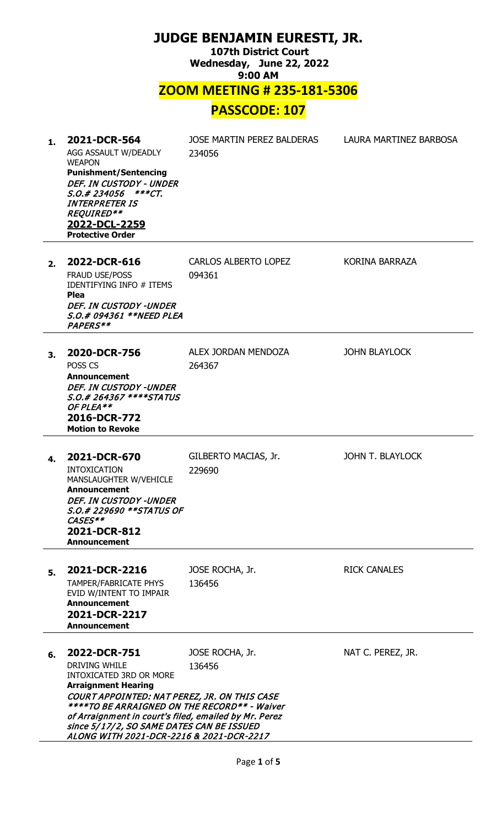| <b>JUDGE BENJAMIN EURESTI, JR.</b><br><b>107th District Court</b><br>Wednesday, June 22, 2022<br>9:00 AM |                                                                                                                                                                                                                                                                                                                                                        |                                       |                        |
|----------------------------------------------------------------------------------------------------------|--------------------------------------------------------------------------------------------------------------------------------------------------------------------------------------------------------------------------------------------------------------------------------------------------------------------------------------------------------|---------------------------------------|------------------------|
|                                                                                                          |                                                                                                                                                                                                                                                                                                                                                        | <b>ZOOM MEETING # 235-181-5306</b>    |                        |
|                                                                                                          |                                                                                                                                                                                                                                                                                                                                                        | <b>PASSCODE: 107</b>                  |                        |
| 1.                                                                                                       | 2021-DCR-564<br>AGG ASSAULT W/DEADLY<br><b>WEAPON</b><br><b>Punishment/Sentencing</b><br>DEF. IN CUSTODY - UNDER<br>S.O.# 234056 ***CT.<br><i><b>INTERPRETER IS</b></i><br>REQUIRED**<br>2022-DCL-2259<br><b>Protective Order</b>                                                                                                                      | JOSE MARTIN PEREZ BALDERAS<br>234056  | LAURA MARTINEZ BARBOSA |
| 2.                                                                                                       | 2022-DCR-616<br><b>FRAUD USE/POSS</b><br><b>IDENTIFYING INFO # ITEMS</b><br>Plea<br>DEF. IN CUSTODY -UNDER<br>S.O.# 094361 **NEED PLEA<br>PAPERS**                                                                                                                                                                                                     | <b>CARLOS ALBERTO LOPEZ</b><br>094361 | KORINA BARRAZA         |
| 3.                                                                                                       | 2020-DCR-756<br>POSS <sub>CS</sub><br>Announcement<br><b>DEF. IN CUSTODY -UNDER</b><br><i>S.O.# 264367 ****STATUS</i><br>OF PLEA**<br>2016-DCR-772<br><b>Motion to Revoke</b>                                                                                                                                                                          | ALEX JORDAN MENDOZA<br>264367         | <b>JOHN BLAYLOCK</b>   |
| 4.                                                                                                       | 2021-DCR-670<br><b>INTOXICATION</b><br>MANSLAUGHTER W/VEHICLE<br><b>Announcement</b><br><b>DEF. IN CUSTODY -UNDER</b><br><i>S.O.# 229690 **STATUS OF</i><br>CASES**<br>2021-DCR-812<br><b>Announcement</b>                                                                                                                                             | GILBERTO MACIAS, Jr.<br>229690        | JOHN T. BLAYLOCK       |
| 5.                                                                                                       | 2021-DCR-2216<br><b>TAMPER/FABRICATE PHYS</b><br>EVID W/INTENT TO IMPAIR<br><b>Announcement</b><br>2021-DCR-2217<br><b>Announcement</b>                                                                                                                                                                                                                | JOSE ROCHA, Jr.<br>136456             | <b>RICK CANALES</b>    |
| 6.                                                                                                       | 2022-DCR-751<br><b>DRIVING WHILE</b><br><b>INTOXICATED 3RD OR MORE</b><br><b>Arraignment Hearing</b><br>COURT APPOINTED: NAT PEREZ, JR. ON THIS CASE<br>****TO BE ARRAIGNED ON THE RECORD** - Waiver<br>of Arraignment in court's filed, emailed by Mr. Perez<br>since 5/17/2, SO SAME DATES CAN BE ISSUED<br>ALONG WITH 2021-DCR-2216 & 2021-DCR-2217 | JOSE ROCHA, Jr.<br>136456             | NAT C. PEREZ, JR.      |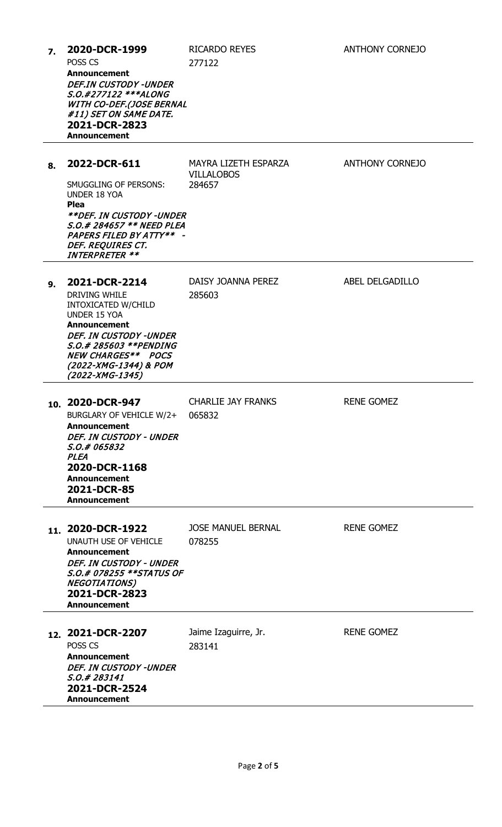| $\overline{7}$ . | 2020-DCR-1999<br>POSS CS<br><b>Announcement</b><br><b>DEF.IN CUSTODY -UNDER</b><br>S.O.#277122 ***ALONG<br><b>WITH CO-DEF.(JOSE BERNAL</b><br>#11) SET ON SAME DATE.<br>2021-DCR-2823<br><b>Announcement</b>                     | <b>RICARDO REYES</b><br>277122                      | <b>ANTHONY CORNEJO</b> |
|------------------|----------------------------------------------------------------------------------------------------------------------------------------------------------------------------------------------------------------------------------|-----------------------------------------------------|------------------------|
| 8.               | 2022-DCR-611<br>SMUGGLING OF PERSONS:<br><b>UNDER 18 YOA</b><br><b>Plea</b><br><i><b>**DEF. IN CUSTODY -UNDER</b></i><br>S.O.# 284657 ** NEED PLEA<br>PAPERS FILED BY ATTY** -<br>DEF. REQUIRES CT.<br><b>INTERPRETER **</b>     | MAYRA LIZETH ESPARZA<br><b>VILLALOBOS</b><br>284657 | <b>ANTHONY CORNEJO</b> |
| 9.               | 2021-DCR-2214<br>DRIVING WHILE<br>INTOXICATED W/CHILD<br><b>UNDER 15 YOA</b><br><b>Announcement</b><br>DEF. IN CUSTODY -UNDER<br>S.O.# 285603 **PENDING<br><b>NEW CHARGES** POCS</b><br>(2022-XMG-1344) & POM<br>(2022-XMG-1345) | DAISY JOANNA PEREZ<br>285603                        | ABEL DELGADILLO        |
|                  | 10. 2020-DCR-947<br>BURGLARY OF VEHICLE W/2+<br><b>Announcement</b><br>DEF. IN CUSTODY - UNDER<br>S.O.# 065832<br><b>PLEA</b><br>2020-DCR-1168<br><b>Announcement</b><br>2021-DCR-85<br><b>Announcement</b>                      | <b>CHARLIE JAY FRANKS</b><br>065832                 | <b>RENE GOMEZ</b>      |
|                  | 11. 2020-DCR-1922<br>UNAUTH USE OF VEHICLE<br><b>Announcement</b><br>DEF. IN CUSTODY - UNDER<br>S.O.# 078255 **STATUS OF<br><b>NEGOTIATIONS)</b><br>2021-DCR-2823<br><b>Announcement</b>                                         | <b>JOSE MANUEL BERNAL</b><br>078255                 | <b>RENE GOMEZ</b>      |
|                  | 12. 2021-DCR-2207<br>POSS CS<br><b>Announcement</b><br><b>DEF. IN CUSTODY -UNDER</b><br>S.O.# 283141<br>2021-DCR-2524<br><b>Announcement</b>                                                                                     | Jaime Izaguirre, Jr.<br>283141                      | <b>RENE GOMEZ</b>      |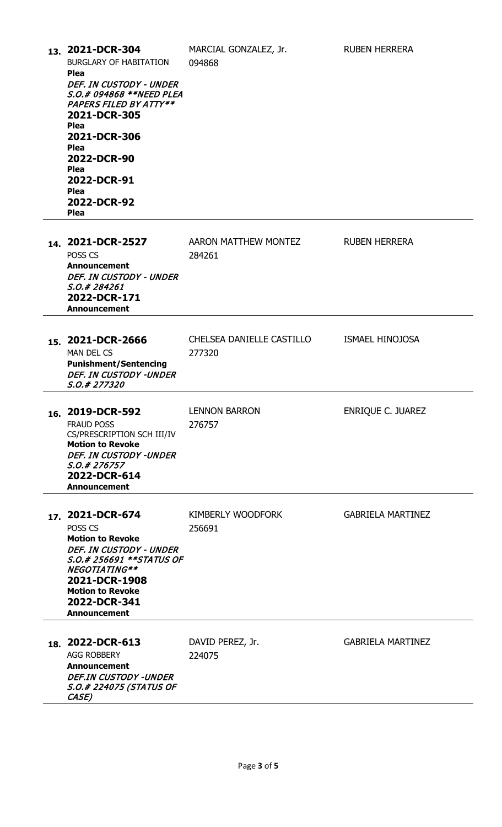|     | BURGLARY OF HABITATION<br><b>Plea</b><br>DEF. IN CUSTODY - UNDER<br>S.O.# 094868 **NEED PLEA<br>PAPERS FILED BY ATTY**<br>2021-DCR-305<br><b>Plea</b><br>2021-DCR-306<br><b>Plea</b><br>2022-DCR-90<br><b>Plea</b><br>2022-DCR-91<br><b>Plea</b><br>2022-DCR-92<br><b>Plea</b> | 094868                              |                          |
|-----|--------------------------------------------------------------------------------------------------------------------------------------------------------------------------------------------------------------------------------------------------------------------------------|-------------------------------------|--------------------------|
|     | 14. 2021-DCR-2527<br>POSS <sub>CS</sub><br><b>Announcement</b><br>DEF. IN CUSTODY - UNDER<br><i>S.O.# 284261</i><br>2022-DCR-171<br><b>Announcement</b>                                                                                                                        | AARON MATTHEW MONTEZ<br>284261      | <b>RUBEN HERRERA</b>     |
|     | 15. 2021-DCR-2666<br><b>MAN DEL CS</b><br><b>Punishment/Sentencing</b><br><b>DEF. IN CUSTODY -UNDER</b><br>S.O.# 277320                                                                                                                                                        | CHELSEA DANIELLE CASTILLO<br>277320 | <b>ISMAEL HINOJOSA</b>   |
| 16. | 2019-DCR-592<br><b>FRAUD POSS</b><br>CS/PRESCRIPTION SCH III/IV<br><b>Motion to Revoke</b><br><b>DEF. IN CUSTODY -UNDER</b><br>S.O.# 276757<br>2022-DCR-614<br><b>Announcement</b>                                                                                             | <b>LENNON BARRON</b><br>276757      | ENRIQUE C. JUAREZ        |
|     | 17. 2021-DCR-674<br>POSS <sub>CS</sub><br><b>Motion to Revoke</b><br>DEF. IN CUSTODY - UNDER<br>S.O.# 256691 **STATUS OF<br>NEGOTIATING**<br>2021-DCR-1908<br><b>Motion to Revoke</b><br>2022-DCR-341<br><b>Announcement</b>                                                   | <b>KIMBERLY WOODFORK</b><br>256691  | <b>GABRIELA MARTINEZ</b> |
|     | 18. 2022-DCR-613<br><b>AGG ROBBERY</b><br><b>Announcement</b><br><b>DEF.IN CUSTODY -UNDER</b>                                                                                                                                                                                  | DAVID PEREZ, Jr.<br>224075          | <b>GABRIELA MARTINEZ</b> |

**13. 2021-DCR-304** MARCIAL GONZALEZ, Jr. RUBEN HERRERA

S.O.# 224075 (STATUS OF

CASE)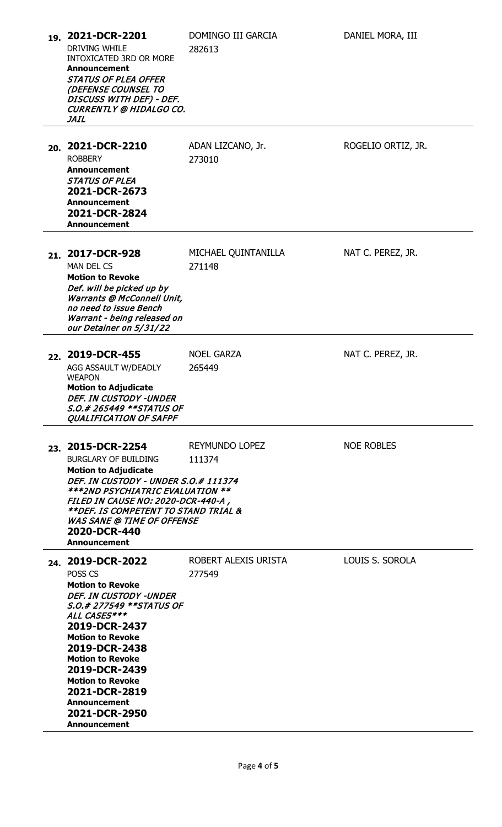| 19. 2021-DCR-2201<br>DRIVING WHILE<br><b>INTOXICATED 3RD OR MORE</b><br><b>Announcement</b><br>STATUS OF PLEA OFFER<br>(DEFENSE COUNSEL TO<br>DISCUSS WITH DEF) - DEF.<br><b>CURRENTLY @ HIDALGO CO.</b><br><b>JAIL</b>                                                                                                                           | DOMINGO III GARCIA<br>282613    | DANIEL MORA, III   |
|---------------------------------------------------------------------------------------------------------------------------------------------------------------------------------------------------------------------------------------------------------------------------------------------------------------------------------------------------|---------------------------------|--------------------|
| 20. 2021-DCR-2210<br><b>ROBBERY</b><br><b>Announcement</b><br><b>STATUS OF PLEA</b><br>2021-DCR-2673<br><b>Announcement</b><br>2021-DCR-2824<br><b>Announcement</b>                                                                                                                                                                               | ADAN LIZCANO, Jr.<br>273010     | ROGELIO ORTIZ, JR. |
| 21. 2017-DCR-928<br><b>MAN DEL CS</b><br><b>Motion to Revoke</b><br>Def. will be picked up by<br><b>Warrants @ McConnell Unit,</b><br>no need to issue Bench<br>Warrant - being released on<br>our Detainer on 5/31/22                                                                                                                            | MICHAEL QUINTANILLA<br>271148   | NAT C. PEREZ, JR.  |
| 22. 2019-DCR-455<br>AGG ASSAULT W/DEADLY<br><b>WEAPON</b><br><b>Motion to Adjudicate</b><br>DEF. IN CUSTODY -UNDER<br><i>S.O.# 265449 **STATUS OF</i><br>QUALIFICATION OF SAFPF                                                                                                                                                                   | <b>NOEL GARZA</b><br>265449     | NAT C. PEREZ, JR.  |
| 23. 2015-DCR-2254<br><b>BURGLARY OF BUILDING</b><br><b>Motion to Adjudicate</b><br>DEF. IN CUSTODY - UNDER S.O.# 111374<br>***2ND PSYCHIATRIC EVALUATION **<br>FILED IN CAUSE NO: 2020-DCR-440-A,<br>**DEF. IS COMPETENT TO STAND TRIAL &<br><b>WAS SANE @ TIME OF OFFENSE</b><br>2020-DCR-440<br><b>Announcement</b>                             | <b>REYMUNDO LOPEZ</b><br>111374 | <b>NOE ROBLES</b>  |
| 24. 2019-DCR-2022<br>POSS CS<br><b>Motion to Revoke</b><br>DEF. IN CUSTODY -UNDER<br>S.O.# 277549 **STATUS OF<br>ALL CASES***<br>2019-DCR-2437<br><b>Motion to Revoke</b><br>2019-DCR-2438<br><b>Motion to Revoke</b><br>2019-DCR-2439<br><b>Motion to Revoke</b><br>2021-DCR-2819<br><b>Announcement</b><br>2021-DCR-2950<br><b>Announcement</b> | ROBERT ALEXIS URISTA<br>277549  | LOUIS S. SOROLA    |